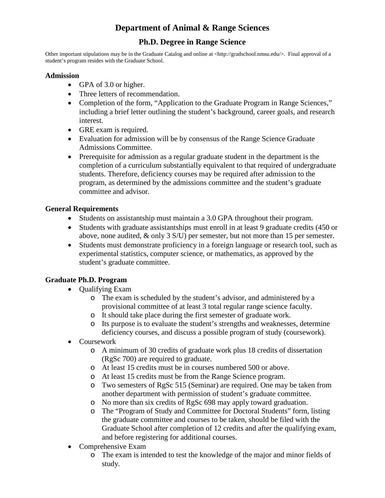# **Department of Animal & Range Sciences**

## **Ph.D. Degree in Range Science**

Other important stipulations may be in the Graduate Catalog and online at <http://gradschool.nmsu.edu/>. Final approval of a student's program resides with the Graduate School.

#### **Admission**

- GPA of 3.0 or higher.
- Three letters of recommendation.
- Completion of the form, "Application to the Graduate Program in Range Sciences," including a brief letter outlining the student's background, career goals, and research interest.
- GRE exam is required.
- Evaluation for admission will be by consensus of the Range Science Graduate Admissions Committee.
- Prerequisite for admission as a regular graduate student in the department is the completion of a curriculum substantially equivalent to that required of undergraduate students. Therefore, deficiency courses may be required after admission to the program, as determined by the admissions committee and the student's graduate committee and advisor.

### **General Requirements**

- Students on assistantship must maintain a 3.0 GPA throughout their program.
- Students with graduate assistantships must enroll in at least 9 graduate credits (450 or above, none audited, & only 3 S/U) per semester, but not more than 15 per semester.
- Students must demonstrate proficiency in a foreign language or research tool, such as experimental statistics, computer science, or mathematics, as approved by the student's graduate committee.

## **Graduate Ph.D. Program**

- **Qualifying Exam** 
	- o The exam is scheduled by the student's advisor, and administered by a provisional committee of at least 3 total regular range science faculty.
	- o It should take place during the first semester of graduate work.
	- o Its purpose is to evaluate the student's strengths and weaknesses, determine deficiency courses, and discuss a possible program of study (coursework).
- Coursework
	- o A minimum of 30 credits of graduate work plus 18 credits of dissertation (RgSc 700) are required to graduate.
	- o At least 15 credits must be in courses numbered 500 or above.
	- o At least 15 credits must be from the Range Science program.
	- o Two semesters of RgSc 515 (Seminar) are required. One may be taken from another department with permission of student's graduate committee.
	- o No more than six credits of RgSc 698 may apply toward graduation.
	- o The "Program of Study and Committee for Doctoral Students" form, listing the graduate committee and courses to be taken, should be filed with the Graduate School after completion of 12 credits and after the qualifying exam, and before registering for additional courses.
- Comprehensive Exam
	- o The exam is intended to test the knowledge of the major and minor fields of study.